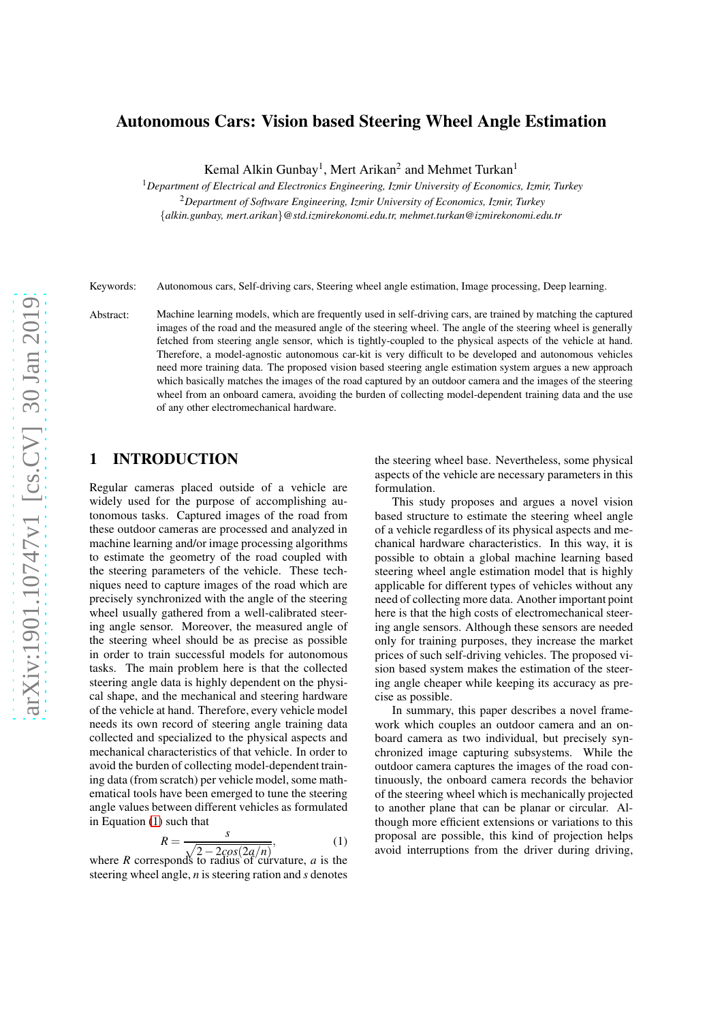### Autonomous Cars: Vision based Steering Wheel Angle Estimation

Kemal Alkin Gunbay<sup>1</sup>, Mert Arikan<sup>2</sup> and Mehmet Turkan<sup>1</sup>

<sup>1</sup>*Department of Electrical and Electronics Engineering, Izmir University of Economics, Izmir, Turkey* <sup>2</sup>*Department of Software Engineering, Izmir University of Economics, Izmir, Turkey* {*alkin.gunbay, mert.arikan*}*@std.izmirekonomi.edu.tr, mehmet.turkan@izmirekonomi.edu.tr*

Keywords: Autonomous cars, Self-driving cars, Steering wheel angle estimation, Image processing, Deep learning.

Abstract: Machine learning models, which are frequently used in self-driving cars, are trained by matching the captured images of the road and the measured angle of the steering wheel. The angle of the steering wheel is generally fetched from steering angle sensor, which is tightly-coupled to the physical aspects of the vehicle at hand. Therefore, a model-agnostic autonomous car-kit is very difficult to be developed and autonomous vehicles need more training data. The proposed vision based steering angle estimation system argues a new approach which basically matches the images of the road captured by an outdoor camera and the images of the steering wheel from an onboard camera, avoiding the burden of collecting model-dependent training data and the use of any other electromechanical hardware.

## 1 INTRODUCTION

Regular cameras placed outside of a vehicle are widely used for the purpose of accomplishing autonomous tasks. Captured images of the road from these outdoor cameras are processed and analyzed in machine learning and/or image processing algorithms to estimate the geometry of the road coupled with the steering parameters of the vehicle. These techniques need to capture images of the road which are precisely synchronized with the angle of the steering wheel usually gathered from a well-calibrated steering angle sensor. Moreover, the measured angle of the steering wheel should be as precise as possible in order to train successful models for autonomous tasks. The main problem here is that the collected steering angle data is highly dependent on the physical shape, and the mechanical and steering hardware of the vehicle at hand. Therefore, every vehicle model needs its own record of steering angle training data collected and specialized to the physical aspects and mechanical characteristics of that vehicle. In order to avoid the burden of collecting model-dependent training data (from scratch) per vehicle model, some mathematical tools have been emerged to tune the steering angle values between different vehicles as formulated in Equation (1) such that

$$
R = \frac{s}{\sqrt{2 - 2\cos(2a/n)}},\tag{1}
$$

2−2*cos*(2*a*/*n*) where *R* corresponds to radius of curvature, *a* is the steering wheel angle, *n* is steering ration and *s* denotes

the steering wheel base. Nevertheless, some physical aspects of the vehicle are necessary parameters in this formulation.

This study proposes and argues a novel vision based structure to estimate the steering wheel angle of a vehicle regardless of its physical aspects and mechanical hardware characteristics. In this way, it is possible to obtain a global machine learning based steering wheel angle estimation model that is highly applicable for different types of vehicles without any need of collecting more data. Another important point here is that the high costs of electromechanical steering angle sensors. Although these sensors are needed only for training purposes, they increase the market prices of such self-driving vehicles. The proposed vision based system makes the estimation of the steering angle cheaper while keeping its accuracy as precise as possible.

In summary, this paper describes a novel framework which couples an outdoor camera and an onboard camera as two individual, but precisely synchronized image capturing subsystems. While the outdoor camera captures the images of the road continuously, the onboard camera records the behavior of the steering wheel which is mechanically projected to another plane that can be planar or circular. Although more efficient extensions or variations to this proposal are possible, this kind of projection helps avoid interruptions from the driver during driving,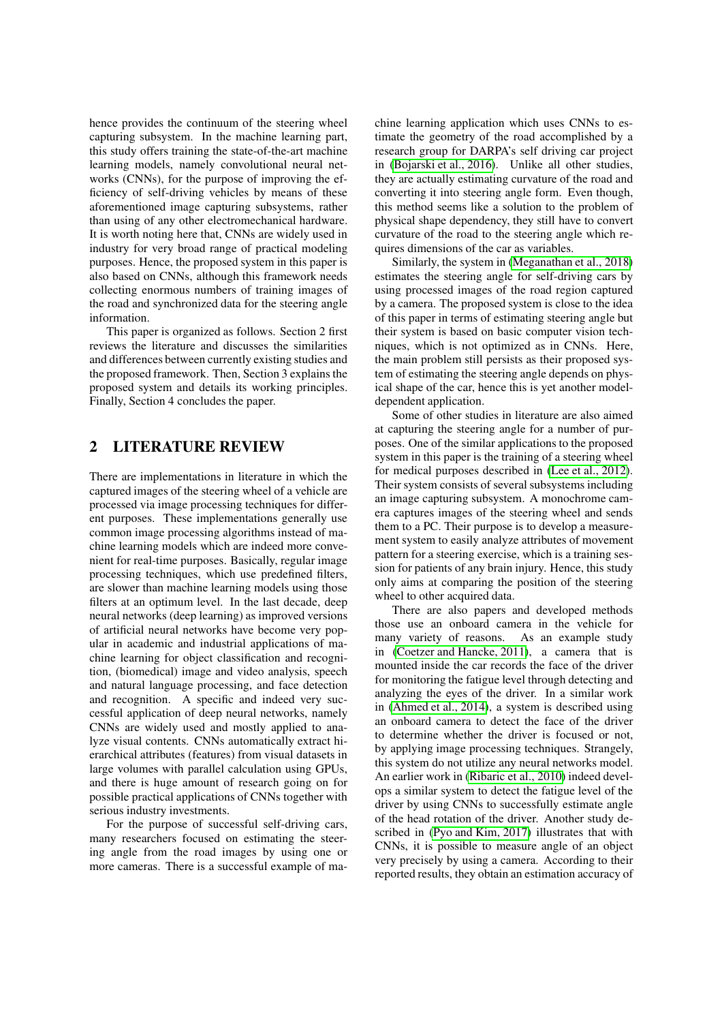hence provides the continuum of the steering wheel capturing subsystem. In the machine learning part, this study offers training the state-of-the-art machine learning models, namely convolutional neural networks (CNNs), for the purpose of improving the efficiency of self-driving vehicles by means of these aforementioned image capturing subsystems, rather than using of any other electromechanical hardware. It is worth noting here that, CNNs are widely used in industry for very broad range of practical modeling purposes. Hence, the proposed system in this paper is also based on CNNs, although this framework needs collecting enormous numbers of training images of the road and synchronized data for the steering angle information.

This paper is organized as follows. Section 2 first reviews the literature and discusses the similarities and differences between currently existing studies and the proposed framework. Then, Section 3 explains the proposed system and details its working principles. Finally, Section 4 concludes the paper.

## 2 LITERATURE REVIEW

There are implementations in literature in which the captured images of the steering wheel of a vehicle are processed via image processing techniques for different purposes. These implementations generally use common image processing algorithms instead of machine learning models which are indeed more convenient for real-time purposes. Basically, regular image processing techniques, which use predefined filters, are slower than machine learning models using those filters at an optimum level. In the last decade, deep neural networks (deep learning) as improved versions of artificial neural networks have become very popular in academic and industrial applications of machine learning for object classification and recognition, (biomedical) image and video analysis, speech and natural language processing, and face detection and recognition. A specific and indeed very successful application of deep neural networks, namely CNNs are widely used and mostly applied to analyze visual contents. CNNs automatically extract hierarchical attributes (features) from visual datasets in large volumes with parallel calculation using GPUs, and there is huge amount of research going on for possible practical applications of CNNs together with serious industry investments.

For the purpose of successful self-driving cars, many researchers focused on estimating the steering angle from the road images by using one or more cameras. There is a successful example of machine learning application which uses CNNs to estimate the geometry of the road accomplished by a research group for DARPA's self driving car project in (Bojarski et al., 2016). Unlike all other studies, they are actually estimating curvature of the road and converting it into steering angle form. Even though, this method seems like a solution to the problem of physical shape dependency, they still have to convert curvature of the road to the steering angle which requires dimensions of the car as variables.

Similarly, the system in (Meganathan et al., 2018) estimates the steering angle for self-driving cars by using processed images of the road region captured by a camera. The proposed system is close to the idea of this paper in terms of estimating steering angle but their system is based on basic computer vision techniques, which is not optimized as in CNNs. Here, the main problem still persists as their proposed system of estimating the steering angle depends on physical shape of the car, hence this is yet another modeldependent application.

Some of other studies in literature are also aimed at capturing the steering angle for a number of purposes. One of the similar applications to the proposed system in this paper is the training of a steering wheel for medical purposes described in (Lee et al., 2012). Their system consists of several subsystems including an image capturing subsystem. A monochrome camera captures images of the steering wheel and sends them to a PC. Their purpose is to develop a measurement system to easily analyze attributes of movement pattern for a steering exercise, which is a training session for patients of any brain injury. Hence, this study only aims at comparing the position of the steering wheel to other acquired data.

There are also papers and developed methods those use an onboard camera in the vehicle for many variety of reasons. As an example study in (Coetzer and Hancke, 2011), a camera that is mounted inside the car records the face of the driver for monitoring the fatigue level through detecting and analyzing the eyes of the driver. In a similar work in (Ahmed et al., 2014), a system is described using an onboard camera to detect the face of the driver to determine whether the driver is focused or not, by applying image processing techniques. Strangely, this system do not utilize any neural networks model. An earlier work in (Ribaric et al., 2010) indeed develops a similar system to detect the fatigue level of the driver by using CNNs to successfully estimate angle of the head rotation of the driver. Another study described in (Pyo and Kim, 2017) illustrates that with CNNs, it is possible to measure angle of an object very precisely by using a camera. According to their reported results, they obtain an estimation accuracy of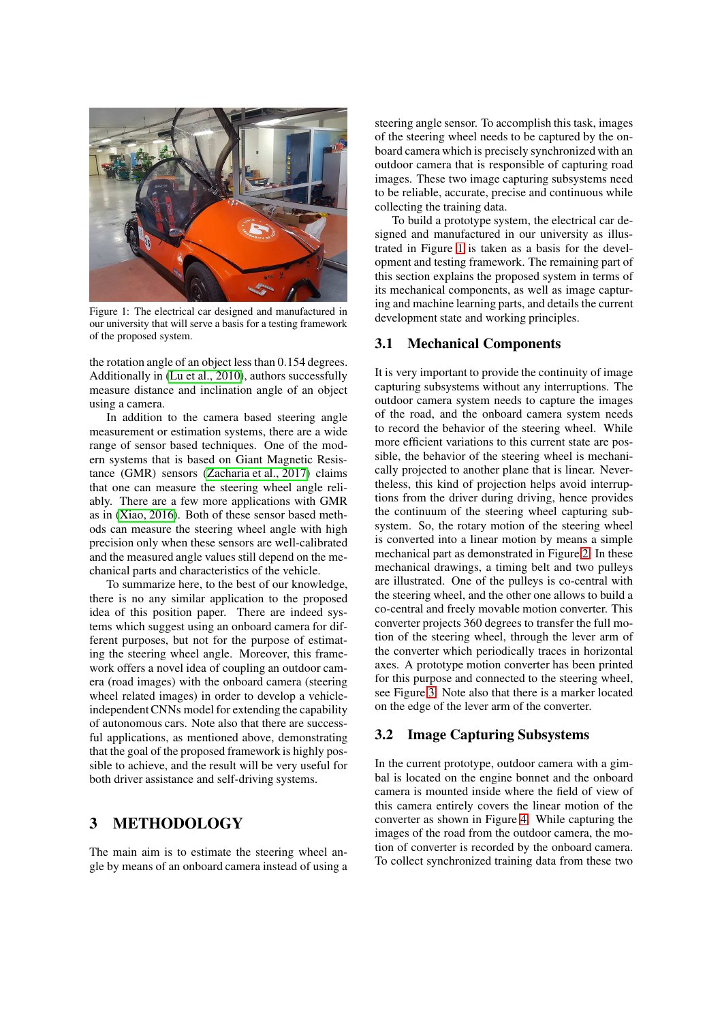

Figure 1: The electrical car designed and manufactured in our university that will serve a basis for a testing framework of the proposed system.

the rotation angle of an object less than 0.154 degrees. Additionally in (Lu et al., 2010), authors successfully measure distance and inclination angle of an object using a camera.

In addition to the camera based steering angle measurement or estimation systems, there are a wide range of sensor based techniques. One of the modern systems that is based on Giant Magnetic Resistance (GMR) sensors (Zacharia et al., 2017) claims that one can measure the steering wheel angle reliably. There are a few more applications with GMR as in (Xiao, 2016). Both of these sensor based methods can measure the steering wheel angle with high precision only when these sensors are well-calibrated and the measured angle values still depend on the mechanical parts and characteristics of the vehicle.

To summarize here, to the best of our knowledge, there is no any similar application to the proposed idea of this position paper. There are indeed systems which suggest using an onboard camera for different purposes, but not for the purpose of estimating the steering wheel angle. Moreover, this framework offers a novel idea of coupling an outdoor camera (road images) with the onboard camera (steering wheel related images) in order to develop a vehicleindependent CNNs model for extending the capability of autonomous cars. Note also that there are successful applications, as mentioned above, demonstrating that the goal of the proposed framework is highly possible to achieve, and the result will be very useful for both driver assistance and self-driving systems.

### 3 METHODOLOGY

The main aim is to estimate the steering wheel angle by means of an onboard camera instead of using a steering angle sensor. To accomplish this task, images of the steering wheel needs to be captured by the onboard camera which is precisely synchronized with an outdoor camera that is responsible of capturing road images. These two image capturing subsystems need to be reliable, accurate, precise and continuous while collecting the training data.

To build a prototype system, the electrical car designed and manufactured in our university as illustrated in Figure 1 is taken as a basis for the development and testing framework. The remaining part of this section explains the proposed system in terms of its mechanical components, as well as image capturing and machine learning parts, and details the current development state and working principles.

#### 3.1 Mechanical Components

It is very important to provide the continuity of image capturing subsystems without any interruptions. The outdoor camera system needs to capture the images of the road, and the onboard camera system needs to record the behavior of the steering wheel. While more efficient variations to this current state are possible, the behavior of the steering wheel is mechanically projected to another plane that is linear. Nevertheless, this kind of projection helps avoid interruptions from the driver during driving, hence provides the continuum of the steering wheel capturing subsystem. So, the rotary motion of the steering wheel is converted into a linear motion by means a simple mechanical part as demonstrated in Figure 2. In these mechanical drawings, a timing belt and two pulleys are illustrated. One of the pulleys is co-central with the steering wheel, and the other one allows to build a co-central and freely movable motion converter. This converter projects 360 degrees to transfer the full motion of the steering wheel, through the lever arm of the converter which periodically traces in horizontal axes. A prototype motion converter has been printed for this purpose and connected to the steering wheel, see Figure 3. Note also that there is a marker located on the edge of the lever arm of the converter.

#### 3.2 Image Capturing Subsystems

In the current prototype, outdoor camera with a gimbal is located on the engine bonnet and the onboard camera is mounted inside where the field of view of this camera entirely covers the linear motion of the converter as shown in Figure 4. While capturing the images of the road from the outdoor camera, the motion of converter is recorded by the onboard camera. To collect synchronized training data from these two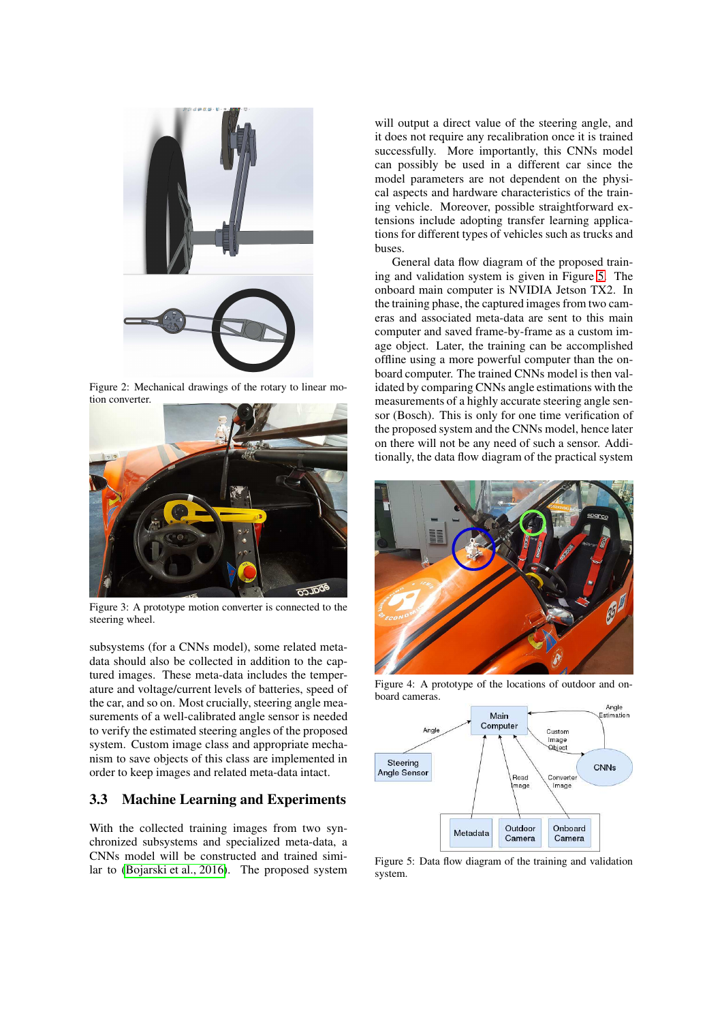

Figure 2: Mechanical drawings of the rotary to linear motion converter.



Figure 3: A prototype motion converter is connected to the steering wheel.

subsystems (for a CNNs model), some related metadata should also be collected in addition to the captured images. These meta-data includes the temperature and voltage/current levels of batteries, speed of the car, and so on. Most crucially, steering angle measurements of a well-calibrated angle sensor is needed to verify the estimated steering angles of the proposed system. Custom image class and appropriate mechanism to save objects of this class are implemented in order to keep images and related meta-data intact.

### 3.3 Machine Learning and Experiments

With the collected training images from two synchronized subsystems and specialized meta-data, a CNNs model will be constructed and trained similar to (Bojarski et al., 2016). The proposed system

will output a direct value of the steering angle, and it does not require any recalibration once it is trained successfully. More importantly, this CNNs model can possibly be used in a different car since the model parameters are not dependent on the physical aspects and hardware characteristics of the training vehicle. Moreover, possible straightforward extensions include adopting transfer learning applications for different types of vehicles such as trucks and buses.

General data flow diagram of the proposed training and validation system is given in Figure 5. The onboard main computer is NVIDIA Jetson TX2. In the training phase, the captured images from two cameras and associated meta-data are sent to this main computer and saved frame-by-frame as a custom image object. Later, the training can be accomplished offline using a more powerful computer than the onboard computer. The trained CNNs model is then validated by comparing CNNs angle estimations with the measurements of a highly accurate steering angle sensor (Bosch). This is only for one time verification of the proposed system and the CNNs model, hence later on there will not be any need of such a sensor. Additionally, the data flow diagram of the practical system



Figure 4: A prototype of the locations of outdoor and onboard cameras.



Figure 5: Data flow diagram of the training and validation system.